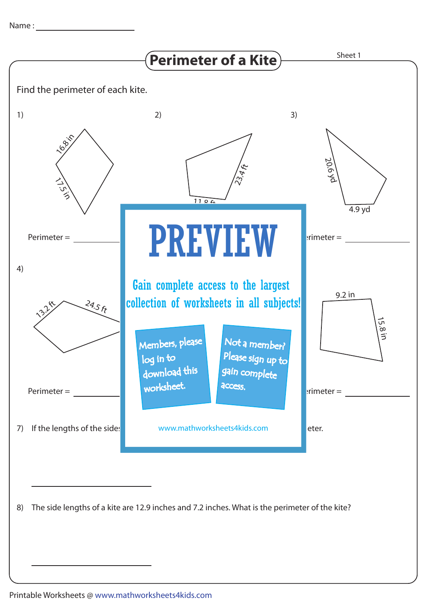